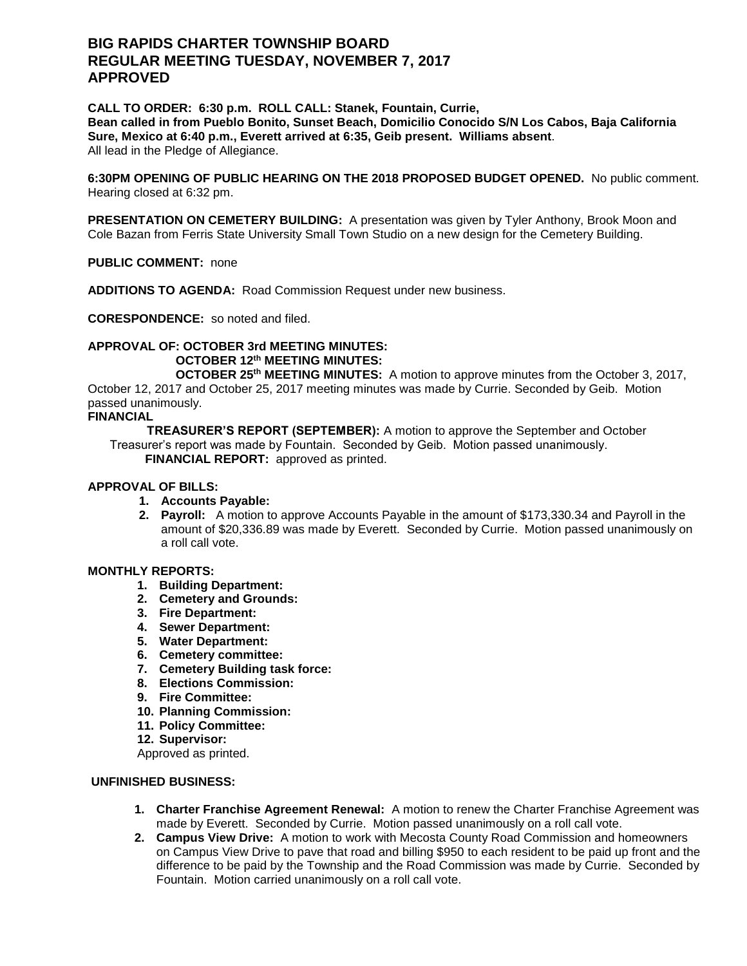# **BIG RAPIDS CHARTER TOWNSHIP BOARD REGULAR MEETING TUESDAY, NOVEMBER 7, 2017 APPROVED**

**CALL TO ORDER: 6:30 p.m. ROLL CALL: Stanek, Fountain, Currie, Bean called in from Pueblo Bonito, Sunset Beach, Domicilio Conocido S/N Los Cabos, Baja California Sure, Mexico at 6:40 p.m., Everett arrived at 6:35, Geib present. Williams absent**. All lead in the Pledge of Allegiance.

**6:30PM OPENING OF PUBLIC HEARING ON THE 2018 PROPOSED BUDGET OPENED.** No public comment. Hearing closed at 6:32 pm.

**PRESENTATION ON CEMETERY BUILDING:** A presentation was given by Tyler Anthony, Brook Moon and Cole Bazan from Ferris State University Small Town Studio on a new design for the Cemetery Building.

**PUBLIC COMMENT:** none

**ADDITIONS TO AGENDA:** Road Commission Request under new business.

**CORESPONDENCE:** so noted and filed.

## **APPROVAL OF: OCTOBER 3rd MEETING MINUTES: OCTOBER 12th MEETING MINUTES:**

**OCTOBER 25th MEETING MINUTES:** A motion to approve minutes from the October 3, 2017, October 12, 2017 and October 25, 2017 meeting minutes was made by Currie. Seconded by Geib. Motion passed unanimously.

**FINANCIAL**

 **TREASURER'S REPORT (SEPTEMBER):** A motion to approve the September and October Treasurer's report was made by Fountain. Seconded by Geib. Motion passed unanimously.  **FINANCIAL REPORT:** approved as printed.

## **APPROVAL OF BILLS:**

- **1. Accounts Payable:**
- **2. Payroll:** A motion to approve Accounts Payable in the amount of \$173,330.34 and Payroll in the amount of \$20,336.89 was made by Everett. Seconded by Currie. Motion passed unanimously on a roll call vote.

#### **MONTHLY REPORTS:**

- **1. Building Department:**
- **2. Cemetery and Grounds:**
- **3. Fire Department:**
- **4. Sewer Department:**
- **5. Water Department:**
- **6. Cemetery committee:**
- **7. Cemetery Building task force:**
- **8. Elections Commission:**
- **9. Fire Committee:**
- **10. Planning Commission:**
- **11. Policy Committee:**
- **12. Supervisor:**

Approved as printed.

## **UNFINISHED BUSINESS:**

- **1. Charter Franchise Agreement Renewal:** A motion to renew the Charter Franchise Agreement was made by Everett. Seconded by Currie. Motion passed unanimously on a roll call vote.
- **2. Campus View Drive:** A motion to work with Mecosta County Road Commission and homeowners on Campus View Drive to pave that road and billing \$950 to each resident to be paid up front and the difference to be paid by the Township and the Road Commission was made by Currie. Seconded by Fountain. Motion carried unanimously on a roll call vote.